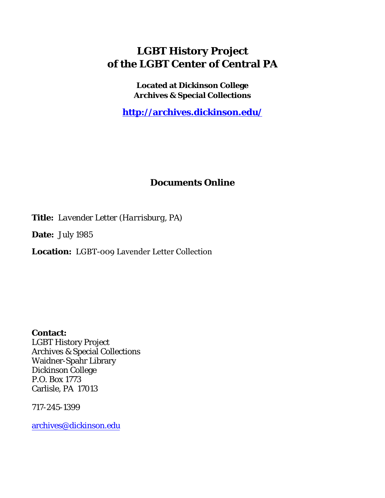## **LGBT History Project of the LGBT Center of Central PA**

**Located at Dickinson College Archives & Special Collections**

**<http://archives.dickinson.edu/>**

## **Documents Online**

**Title:** *Lavender Letter (Harrisburg, PA)*

**Date:** July 1985

**Location:** LGBT-009 Lavender Letter Collection

**Contact:**  LGBT History Project Archives & Special Collections Waidner-Spahr Library Dickinson College P.O. Box 1773 Carlisle, PA 17013

717-245-1399

[archives@dickinson.edu](mailto:archives@dickinson.edu)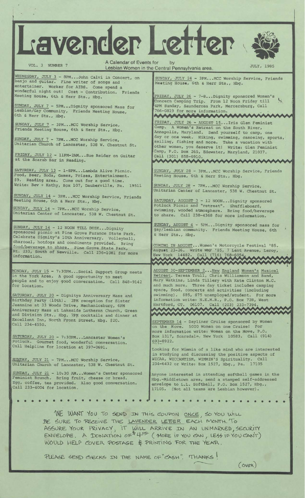Lavender Letter

第一

A Calendar of Events for by VOL. 3 NUMBER 7 Lesbian Women in the Central Pennsylvania area. JULY, 1985

WEDNESDAY, JULY 3 - 8PM...John Calvi in Concert, on banjo and guitar. Fine writer of songs and entertainer. Worker for AIDS. Come spend a wonderful night out! Cost - Contribution. Friends Meeting House, 6th & Herr Sts., Hbg.

SUNDAY, JULY 7 - 5PM...Dignity sponsored Mass for Lesbian/Gay Community, Friends Meeting House, 6th s Herr Sts., Hbg.

SUNDAY, JULY 7 - 3PM...MCC Worship Service, Friends Meeting House, 6th & Herr Sts., Hbg

SUNDAY, JULY 7 - 7PM...MCC Worship Service, Unitarian Church of Lancaster, 538 W. Chestnut St

FRIDAY, JULY 12 at the Scarab Bar 11PM-2AM...Sue Reider on Guitar in Reading.

SATURDAY, JULY 13 • Food, Beer, Soda, <sup>&</sup>lt; \$9. Reading area. Write: Bev + Kathy - 1-8PM...Lambda Alive Picnic. Games, Prizes, Entertainment. Come out for a good time. Bpx 107, Dauberville, Pa. 19511

SUNDAY, JULY 14 - 3PM...MCC Worship Service, Friends Meeting House, 6th & Herr Sts., Hbg.

SUNDAY, JULY 14 - 7PM...MCC Worship Service, Unitarian Center of Lancaster, 538 W. Chestnut St.

SUNDAY, JULY 14 - 12 NOON TILL DUSK...Dignity sponsored picnic at Pine Grove Furance State Park. Celebrate Dignity's 10th Anniversary. Volleyball, charcoal, hotdogs and condiments provided. Bring food/beverage to share. Pine Grove State Park, Rt. 233, South of Newville. Call 236-1081 for more information.

MONDAY, JULY 15 - 7:30PM...Social Support Group meets in the York Area. A good opportunity to meet people and to enjoy good conversation. Call 848-9142 location.

SATURDAY, JULY 20 - Dignitys Anniversary Mass and Birthday Party (10th). 3PM reception for Sister Jeannine at 33 Woods Drive, Mechanicsburg, 6PM Anniversary Mass at Lakeside Lutheran Church, Green and Division Sts., Hbg. 7PM cocktails and dinner at Excellent Inn, North Front Street, Hbg. \$20. Call 234-4550.

SATURDAY, JULY 20 SATURDAY, JULY 20 - 7:30PM...Lancaster Women's<br>Potluck. Gourmet food, wonderful conversation Call Helpline for location at 397-0691. food, wonderful conversation,

SUNDAY, JULY 21 - 7PM...MCC Worship Service, Unitarian Church of Lancaster, 538 W. Chestnut St.

SUNDAY, JULY 21 - 10:30 AM...Women's Center sponsored Feminist Brunch. Bring fruit, cheese or bread. Egg, coffee, tea provided. Also good conversation. Call 233-4004 for location. **• •••••••••••••••••[a](#page-1-0) \***

SUNDAY, JULY 24 - 3PM...MCC Worship Service, Friends Meeting House, 6th & Herr Sts., Hbg. FRIDAY, JULY 26 - 7-8...Dignity sponsored Women's

Concern Camping Trip. From 12 Noon Friday till 4PM Sunday, Saunderosa Park, Mercersburg, Call *[M](#page-1-0)AXIMATION: LUID* 

FRIDAY, JULY 26 - AUGUST 15...Iris Glen Feminist Camp. A Women's Retreat on the South River, Annapolis, Maryland. Send yourself to camp, one day or one week. Hiking, swimming, canoeing, sports, sailing, fishing and more. Take a vacation with other women, you deserve it! Writes Glen Feminist Camp, P.O. Box 265, Edewater, Maryland, 21037. Call (301) 858-6910.

SUNDAY, JULY 28 - 3PM...MCC Worship Service, Friends Meeting House, 6th & Herr Sts., Hbg.

SUNDAY, JULY 28 - 7PM...MCC Worship Service, Unitarian Center of Lancaster, 538 W. Chestnut St.

SATURDAY, AUGUST <sup>3</sup> - 12 NOON...Dignity sponsored Potluck Picnic and "retreat". Shuffleboard, swimming, wooded atmosphere. Bring food/beverage to share. Call 238-4368 for more information.

SUNDAY, AUGUST 4 - 5PM...Dignity sponsored mass for gay/lesbian community. Friends Meeting House, 6th & Herr Sts., Hbg.

COMING IN AUGUST...Women's Motorcycle Festival '85.<br>August 23-26. Write WMF '85, 7 Lent Avenue, Leroy, New York. 14482. Call (716) 768-6054

AUGUST 30-SEPTEMBER 2... New England Women's Musical<br>Retreat. Teresa Trull, Chris Williamson and Band, Mary Watkins, Linda Tillery with Kate Clinton M.C. and much more. Three day ticket includes camping space, food, concerts and activities (including SWimming). \$85, \$75 unemployed/student. For more information write: N.E.M.R., P.O. Box 728, West<br>Hartford, CT. 06107. Call (203) 233-7394.

SEPTEMBER 14 - Dayliner Cruise sponsored by Women the Move. 5000 Women on one Cruise! For more information write: Women on the Move, P.O. Box 1317, Scarsdale, New York 10583. Call (914) 693-8922.

Looking for Wimmin of a like mind who are interested in studying and discussing the positive aspects of WICAA, WICCANTISM, WIMMIN'S Spirituality. Call 234-6432 or Write: Box 1527, Hbg., Pa. 17105

Anyone interested in attending softball games in the Hbg.-Middletown area, send a stamped self-addressed envelope to L.L. Softball, P.O. Box 1527, Hbg., 17105. (Not all teams are Lesbian however).

• •••••••••••••••••

<span id="page-1-0"></span>

WE WANT YOU TO SEND IN THIS COUPON ONCE, SO YOU WILL SURE TO RECEIVE THE LAVENDER LETTER EACH MONTH. To ASSURE YOUR PRIVACY, IT WILL ARRIVE IN AN UNMARKED, SECURITY<br>ENVELOPE. A DONATION OF #4-<sup>9</sup> (MORE IF YOU CAN, LESS IF YOU CAN'T) WOULD HELP COVER POSTAGE & PRINTING FOR THE YEAR.

PLEASE SEND CHECKS IN THE NAME OF CASH". THANKS!

 $(ovqr)$